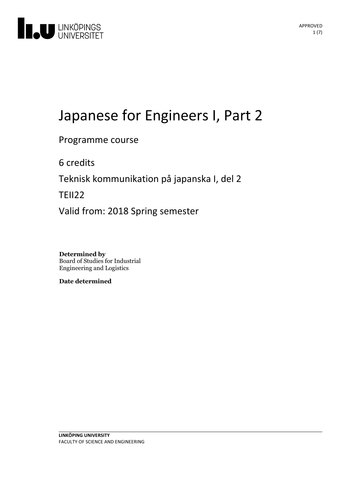

# Japanese for Engineers I, Part 2

Programme course

6 credits

Teknisk kommunikation på japanska I, del 2

TEII22

Valid from: 2018 Spring semester

**Determined by** Board of Studies for Industrial Engineering and Logistics

**Date determined**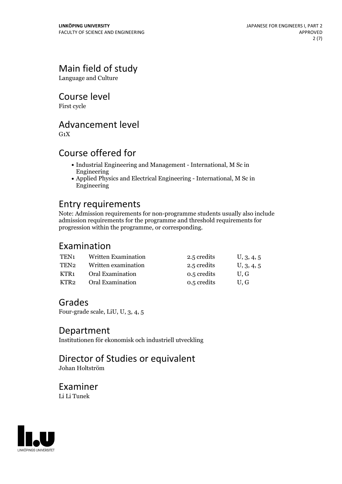### Main field of study

Language and Culture

Course level

First cycle

### Advancement level

 $G_1X$ 

### Course offered for

- Industrial Engineering and Management International, M Sc in Engineering
- Applied Physics and Electrical Engineering International, M Sc in Engineering

### Entry requirements

Note: Admission requirements for non-programme students usually also include admission requirements for the programme and threshold requirements for progression within the programme, or corresponding.

### Examination

| TEN <sub>1</sub> | Written Examination | 2.5 credits | U, 3, 4, 5 |
|------------------|---------------------|-------------|------------|
| TEN2             | Written examination | 2.5 credits | U, 3, 4, 5 |
| KTR1             | Oral Examination    | 0.5 credits | U.G        |
| KTR2             | Oral Examination    | 0.5 credits | U.G        |

### Grades

Four-grade scale, LiU, U, 3, 4, 5

### Department

Institutionen för ekonomisk och industriell utveckling

# Director of Studies or equivalent

Johan Holtström

#### Examiner Li Li Tunek

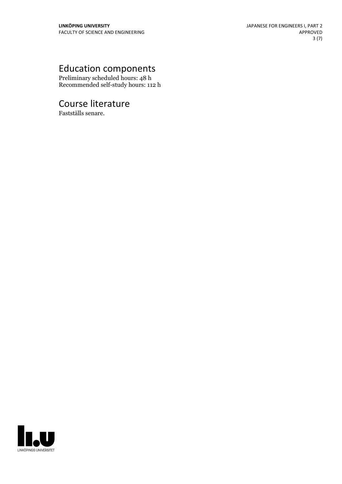## Education components

Preliminary scheduled hours: 48 h Recommended self-study hours: 112 h

### Course literature

Fastställs senare.

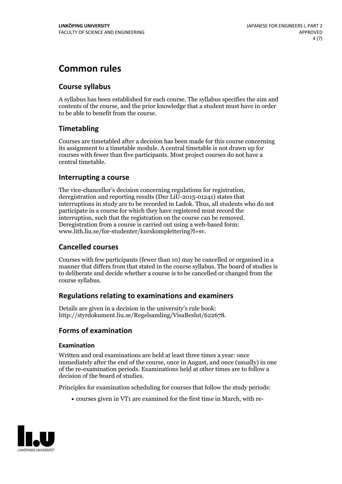### **Common rules**

#### **Course syllabus**

A syllabus has been established for each course. The syllabus specifies the aim and contents of the course, and the prior knowledge that a student must have in order to be able to benefit from the course.

#### **Timetabling**

Courses are timetabled after a decision has been made for this course concerning its assignment to a timetable module. A central timetable is not drawn up for courses with fewer than five participants. Most project courses do not have a central timetable.

#### **Interrupting a course**

The vice-chancellor's decision concerning regulations for registration, deregistration and reporting results (Dnr LiU-2015-01241) states that interruptions in study are to be recorded in Ladok. Thus, all students who do not participate in a course for which they have registered must record the interruption, such that the registration on the course can be removed. Deregistration from <sup>a</sup> course is carried outusing <sup>a</sup> web-based form: www.lith.liu.se/for-studenter/kurskomplettering?l=sv.

#### **Cancelled courses**

Courses with few participants (fewer than 10) may be cancelled or organised in a manner that differs from that stated in the course syllabus. The board of studies is to deliberate and decide whether a course is to be cancelled orchanged from the course syllabus.

#### **Regulations relatingto examinations and examiners**

Details are given in a decision in the university's rule book: http://styrdokument.liu.se/Regelsamling/VisaBeslut/622678.

#### **Forms of examination**

#### **Examination**

Written and oral examinations are held at least three times a year: once immediately after the end of the course, once in August, and once (usually) in one of the re-examination periods. Examinations held at other times are to follow a decision of the board of studies.

Principles for examination scheduling for courses that follow the study periods:

courses given in VT1 are examined for the first time in March, with re-

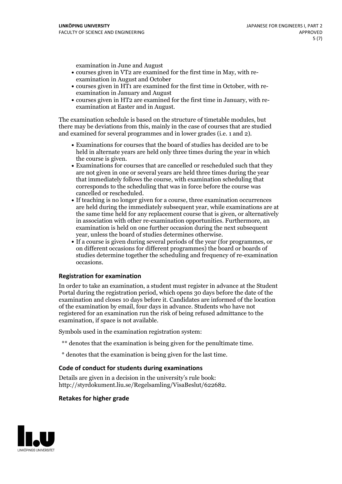examination in June and August

- courses given in VT2 are examined for the first time in May, with re-examination in August and October
- courses given in HT1 are examined for the first time in October, with re-examination in January and August
- courses given in HT2 are examined for the first time in January, with re-examination at Easter and in August.

The examination schedule is based on the structure of timetable modules, but there may be deviations from this, mainly in the case of courses that are studied and examined for several programmes and in lower grades (i.e. 1 and 2).

- Examinations for courses that the board of studies has decided are to be held in alternate years are held only three times during the year in which
- the course is given.<br>• Examinations for courses that are cancelled or rescheduled such that they are not given in one or several years are held three times during the year that immediately follows the course, with examination scheduling that corresponds to the scheduling that was in force before the course was cancelled or rescheduled.<br>• If teaching is no longer given for a course, three examination occurrences
- are held during the immediately subsequent year, while examinations are at the same time held for any replacement course that is given, or alternatively in association with other re-examination opportunities. Furthermore, an examination is held on one further occasion during the next subsequent year, unless the board of studies determines otherwise.<br>• If a course is given during several periods of the year (for programmes, or
- on different occasions for different programmes) the board orboards of studies determine together the scheduling and frequency of re-examination occasions.

#### **Registration for examination**

In order to take an examination, a student must register in advance at the Student Portal during the registration period, which opens 30 days before the date of the examination and closes 10 days before it. Candidates are informed of the location of the examination by email, four days in advance. Students who have not registered for an examination run the risk of being refused admittance to the examination, if space is not available.

Symbols used in the examination registration system:

- \*\* denotes that the examination is being given for the penultimate time.
- \* denotes that the examination is being given for the last time.

#### **Code of conduct for students during examinations**

Details are given in a decision in the university's rule book: http://styrdokument.liu.se/Regelsamling/VisaBeslut/622682.

#### **Retakes for higher grade**

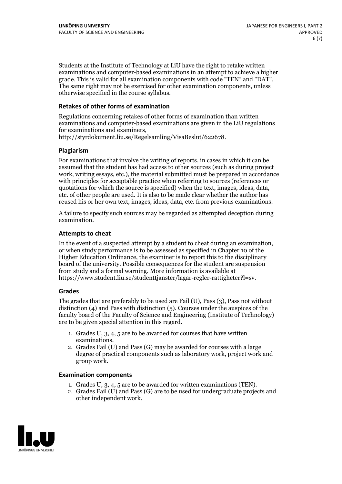Students at the Institute of Technology at LiU have the right to retake written examinations and computer-based examinations in an attempt to achieve a higher grade. This is valid for all examination components with code "TEN" and "DAT". The same right may not be exercised for other examination components, unless otherwise specified in the course syllabus.

#### **Retakes of other forms of examination**

Regulations concerning retakes of other forms of examination than written examinations and computer-based examinations are given in the LiU regulations for examinations and examiners, http://styrdokument.liu.se/Regelsamling/VisaBeslut/622678.

#### **Plagiarism**

For examinations that involve the writing of reports, in cases in which it can be assumed that the student has had access to other sources (such as during project work, writing essays, etc.), the material submitted must be prepared in accordance with principles for acceptable practice when referring to sources (references or quotations for which the source is specified) when the text, images, ideas, data, etc. of other people are used. It is also to be made clear whether the author has reused his or her own text, images, ideas, data, etc. from previous examinations.

A failure to specify such sources may be regarded as attempted deception during examination.

#### **Attempts to cheat**

In the event of <sup>a</sup> suspected attempt by <sup>a</sup> student to cheat during an examination, or when study performance is to be assessed as specified in Chapter <sup>10</sup> of the Higher Education Ordinance, the examiner is to report this to the disciplinary board of the university. Possible consequences for the student are suspension from study and a formal warning. More information is available at https://www.student.liu.se/studenttjanster/lagar-regler-rattigheter?l=sv.

#### **Grades**

The grades that are preferably to be used are Fail (U), Pass (3), Pass not without distinction  $(4)$  and Pass with distinction  $(5)$ . Courses under the auspices of the faculty board of the Faculty of Science and Engineering (Institute of Technology) are to be given special attention in this regard.

- 1. Grades U, 3, 4, 5 are to be awarded for courses that have written
- examinations. 2. Grades Fail (U) and Pass (G) may be awarded for courses with <sup>a</sup> large degree of practical components such as laboratory work, project work and group work.

#### **Examination components**

- 
- 1. Grades U, 3, 4, <sup>5</sup> are to be awarded for written examinations (TEN). 2. Grades Fail (U) and Pass (G) are to be used for undergraduate projects and other independent work.